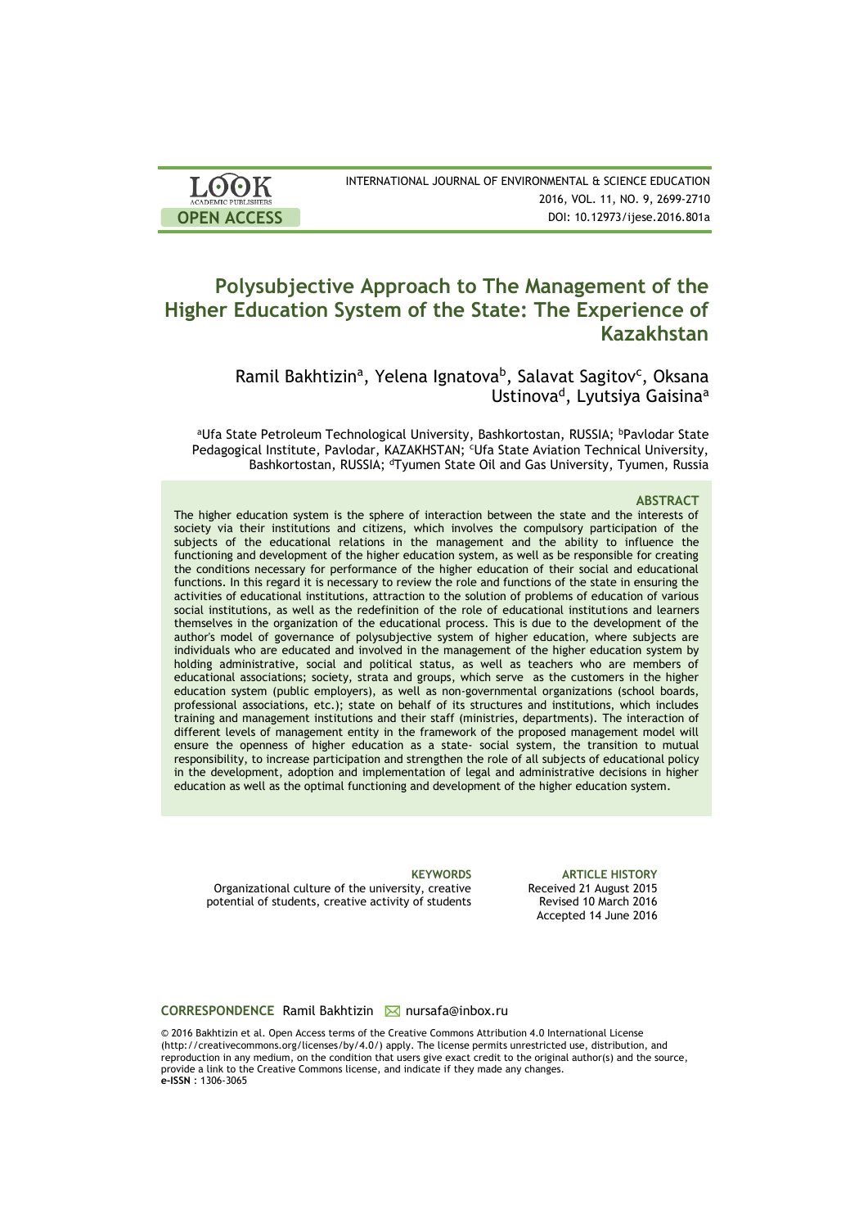| <b>LOOK</b>                | INTERNATIONAL JOURNAL OF ENVIRONMENTAL & SCIENCE EDUCATION |
|----------------------------|------------------------------------------------------------|
| <b>ACADEMIC PUBLISHERS</b> | 2016, VOL. 11, NO. 9, 2699-2710                            |
| <b>OPEN ACCESS</b>         | DOI: 10.12973/ijese.2016.801a                              |

# **Polysubjective Approach to The Management of the Higher Education System of the State: The Experience of Kazakhstan**

Ramil Bakhtizin<sup>a</sup>, Yelena Ignatova<sup>b</sup>, Salavat Sagitov<sup>c</sup>, Oksana Ustinova<sup>d</sup>, Lyutsiya Gaisina<sup>a</sup>

aUfa State Petroleum Technological University, Bashkortostan, RUSSIA; bPavlodar State Pedagogical Institute, Pavlodar, KAZAKHSTAN; <sup>c</sup>Ufa State Aviation Technical University, Bashkortostan, RUSSIA; <sup>d</sup>Tyumen State Oil and Gas University, Tyumen, Russia

#### **ABSTRACT**

The higher education system is the sphere of interaction between the state and the interests of society via their institutions and citizens, which involves the compulsory participation of the subjects of the educational relations in the management and the ability to influence the functioning and development of the higher education system, as well as be responsible for creating the conditions necessary for performance of the higher education of their social and educational functions. In this regard it is necessary to review the role and functions of the state in ensuring the activities of educational institutions, attraction to the solution of problems of education of various social institutions, as well as the redefinition of the role of educational institutions and learners themselves in the organization of the educational process. This is due to the development of the author's model of governance of polysubjective system of higher education, where subjects are individuals who are educated and involved in the management of the higher education system by holding administrative, social and political status, as well as teachers who are members of educational associations; society, strata and groups, which serve as the customers in the higher education system (public employers), as well as non-governmental organizations (school boards, professional associations, etc.); state on behalf of its structures and institutions, which includes training and management institutions and their staff (ministries, departments). The interaction of different levels of management entity in the framework of the proposed management model will ensure the openness of higher education as a state- social system, the transition to mutual responsibility, to increase participation and strengthen the role of all subjects of educational policy in the development, adoption and implementation of legal and administrative decisions in higher education as well as the optimal functioning and development of the higher education system.

Organizational culture of the university, creative potential of students, creative activity of students

**KEYWORDS ARTICLE HISTORY** Received 21 August 2015 Revised 10 March 2016 Accepted 14 June 2016

#### **CORRESPONDENCE** Ramil Bakhtizin **M** nursafa@inbox.ru

© 2016 Bakhtizin et al. Open Access terms of the Creative Commons Attribution 4.0 International License (http://creativecommons.org/licenses/by/4.0/) apply. The license permits unrestricted use, distribution, and reproduction in any medium, on the condition that users give exact credit to the original author(s) and the source, provide a link to the Creative Commons license, and indicate if they made any changes. **e-ISSN** : 1306-3065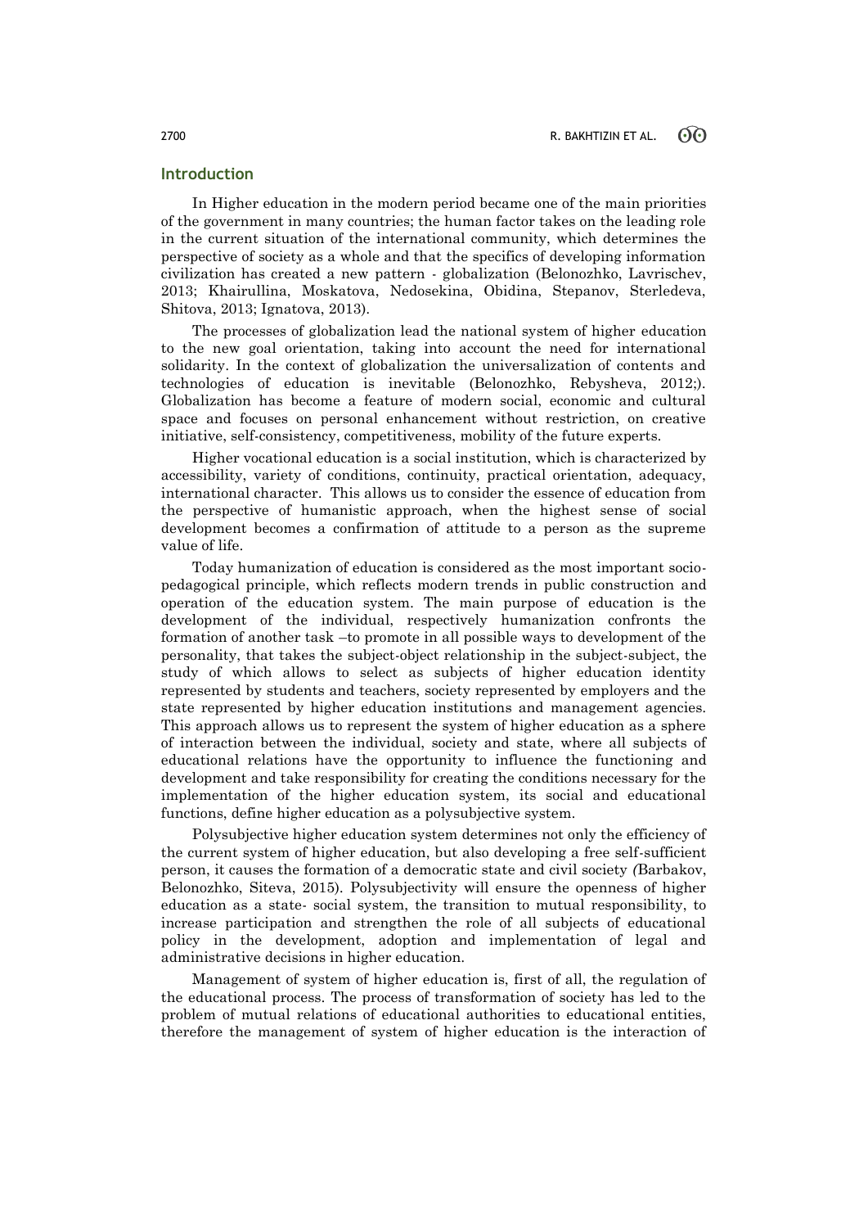## **Introduction**

In Higher education in the modern period became one of the main priorities of the government in many countries; the human factor takes on the leading role in the current situation of the international community, which determines the perspective of society as a whole and that the specifics of developing information civilization has created a new pattern - globalization (Belonozhko, Lavrischev, 2013; Khairullina, Moskatova, Nedosekina, Obidina, Stepanov, Sterledeva, Shitova, 2013; Ignatova, 2013).

The processes of globalization lead the national system of higher education to the new goal orientation, taking into account the need for international solidarity. In the context of globalization the universalization of contents and technologies of education is inevitable (Belonozhko, Rebysheva, 2012;). Globalization has become a feature of modern social, economic and cultural space and focuses on personal enhancement without restriction, on creative initiative, self-consistency, competitiveness, mobility of the future experts.

Higher vocational education is a social institution, which is characterized by accessibility, variety of conditions, continuity, practical orientation, adequacy, international character. This allows us to consider the essence of education from the perspective of humanistic approach, when the highest sense of social development becomes a confirmation of attitude to a person as the supreme value of life.

Today humanization of education is considered as the most important sociopedagogical principle, which reflects modern trends in public construction and operation of the education system. The main purpose of education is the development of the individual, respectively humanization confronts the formation of another task –to promote in all possible ways to development of the personality, that takes the subject-object relationship in the subject-subject, the study of which allows to select as subjects of higher education identity represented by students and teachers, society represented by employers and the state represented by higher education institutions and management agencies. This approach allows us to represent the system of higher education as a sphere of interaction between the individual, society and state, where all subjects of educational relations have the opportunity to influence the functioning and development and take responsibility for creating the conditions necessary for the implementation of the higher education system, its social and educational functions, define higher education as a polysubjective system.

Polysubjective higher education system determines not only the efficiency of the current system of higher education, but also developing a free self-sufficient person, it causes the formation of a democratic state and civil society *(*Barbakov, Belonozhko, Siteva, 2015)*.* Polysubjectivity will ensure the openness of higher education as a state- social system, the transition to mutual responsibility, to increase participation and strengthen the role of all subjects of educational policy in the development, adoption and implementation of legal and administrative decisions in higher education.

Management of system of higher education is, first of all, the regulation of the educational process. The process of transformation of society has led to the problem of mutual relations of educational authorities to educational entities, therefore the management of system of higher education is the interaction of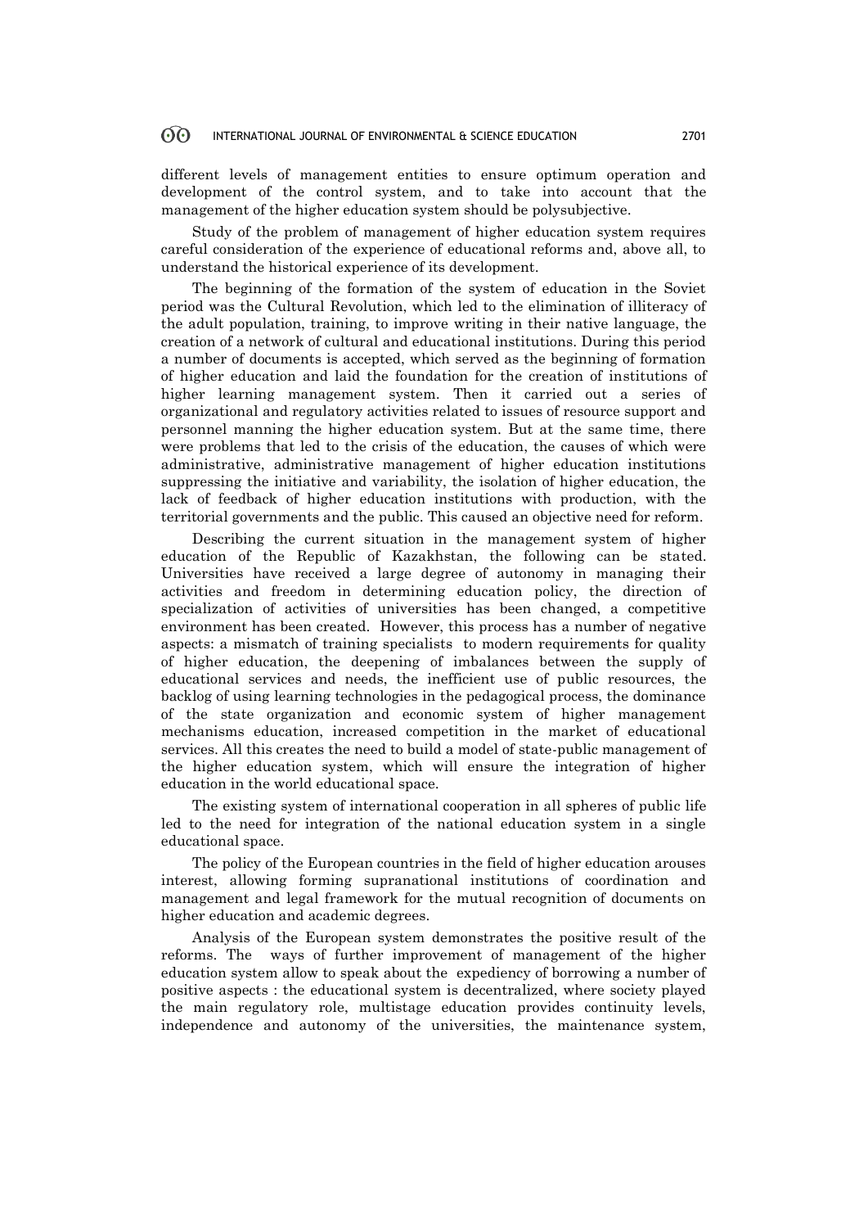#### **ගි** INTERNATIONAL JOURNAL OF ENVIRONMENTAL & SCIENCE EDUCATION 2701

different levels of management entities to ensure optimum operation and development of the control system, and to take into account that the management of the higher education system should be polysubjective.

Study of the problem of management of higher education system requires careful consideration of the experience of educational reforms and, above all, to understand the historical experience of its development.

The beginning of the formation of the system of education in the Soviet period was the Cultural Revolution, which led to the elimination of illiteracy of the adult population, training, to improve writing in their native language, the creation of a network of cultural and educational institutions. During this period a number of documents is accepted, which served as the beginning of formation of higher education and laid the foundation for the creation of institutions of higher learning management system. Then it carried out a series of organizational and regulatory activities related to issues of resource support and personnel manning the higher education system. But at the same time, there were problems that led to the crisis of the education, the causes of which were administrative, administrative management of higher education institutions suppressing the initiative and variability, the isolation of higher education, the lack of feedback of higher education institutions with production, with the territorial governments and the public. This caused an objective need for reform.

Describing the current situation in the management system of higher education of the Republic of Kazakhstan, the following can be stated. Universities have received a large degree of autonomy in managing their activities and freedom in determining education policy, the direction of specialization of activities of universities has been changed, a competitive environment has been created. However, this process has a number of negative aspects: a mismatch of training specialists to modern requirements for quality of higher education, the deepening of imbalances between the supply of educational services and needs, the inefficient use of public resources, the backlog of using learning technologies in the pedagogical process, the dominance of the state organization and economic system of higher management mechanisms education, increased competition in the market of educational services. All this creates the need to build a model of state-public management of the higher education system, which will ensure the integration of higher education in the world educational space.

The existing system of international cooperation in all spheres of public life led to the need for integration of the national education system in a single educational space.

The policy of the European countries in the field of higher education arouses interest, allowing forming supranational institutions of coordination and management and legal framework for the mutual recognition of documents on higher education and academic degrees.

Analysis of the European system demonstrates the positive result of the reforms. The ways of further improvement of management of the higher education system allow to speak about the expediency of borrowing a number of positive aspects : the educational system is decentralized, where society played the main regulatory role, multistage education provides continuity levels, independence and autonomy of the universities, the maintenance system,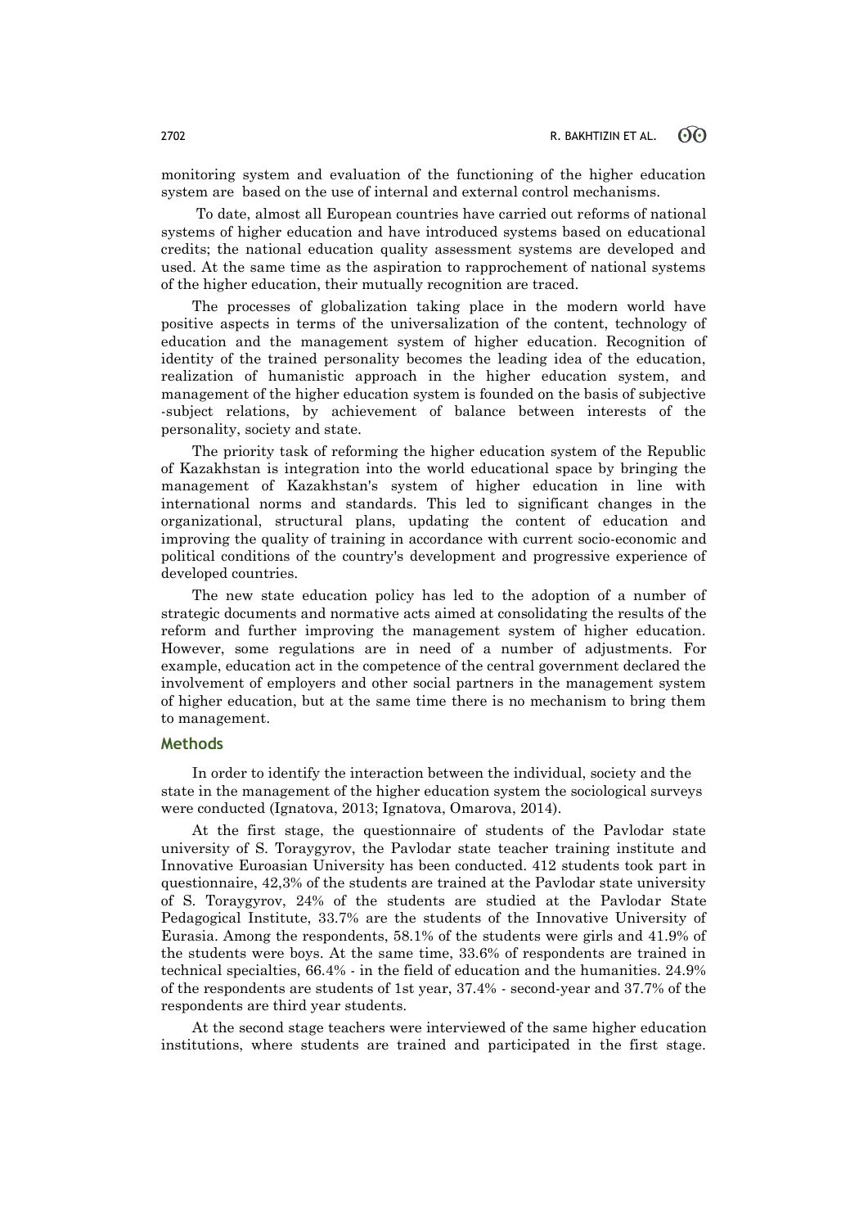monitoring system and evaluation of the functioning of the higher education system are based on the use of internal and external control mechanisms.

To date, almost all European countries have carried out reforms of national systems of higher education and have introduced systems based on educational credits; the national education quality assessment systems are developed and used. At the same time as the aspiration to rapprochement of national systems of the higher education, their mutually recognition are traced.

The processes of globalization taking place in the modern world have positive aspects in terms of the universalization of the content, technology of education and the management system of higher education. Recognition of identity of the trained personality becomes the leading idea of the education, realization of humanistic approach in the higher education system, and management of the higher education system is founded on the basis of subjective -subject relations, by achievement of balance between interests of the personality, society and state.

The priority task of reforming the higher education system of the Republic of Kazakhstan is integration into the world educational space by bringing the management of Kazakhstan's system of higher education in line with international norms and standards. This led to significant changes in the organizational, structural plans, updating the content of education and improving the quality of training in accordance with current socio-economic and political conditions of the country's development and progressive experience of developed countries.

The new state education policy has led to the adoption of a number of strategic documents and normative acts aimed at consolidating the results of the reform and further improving the management system of higher education. However, some regulations are in need of a number of adjustments. For example, education act in the competence of the central government declared the involvement of employers and other social partners in the management system of higher education, but at the same time there is no mechanism to bring them to management.

### **Methods**

In order to identify the interaction between the individual, society and the state in the management of the higher education system the sociological surveys were conducted (Ignatova, 2013; Ignatova, Omarova, 2014).

At the first stage, the questionnaire of students of the Pavlodar state university of S. Toraygyrov, the Pavlodar state teacher training institute and Innovative Euroasian University has been conducted. 412 students took part in questionnaire, 42,3% of the students are trained at the Pavlodar state university of S. Toraygyrov, 24% of the students are studied at the Pavlodar State Pedagogical Institute, 33.7% are the students of the Innovative University of Eurasia. Among the respondents, 58.1% of the students were girls and 41.9% of the students were boys. At the same time, 33.6% of respondents are trained in technical specialties, 66.4% - in the field of education and the humanities. 24.9% of the respondents are students of 1st year, 37.4% - second-year and 37.7% of the respondents are third year students.

At the second stage teachers were interviewed of the same higher education institutions, where students are trained and participated in the first stage.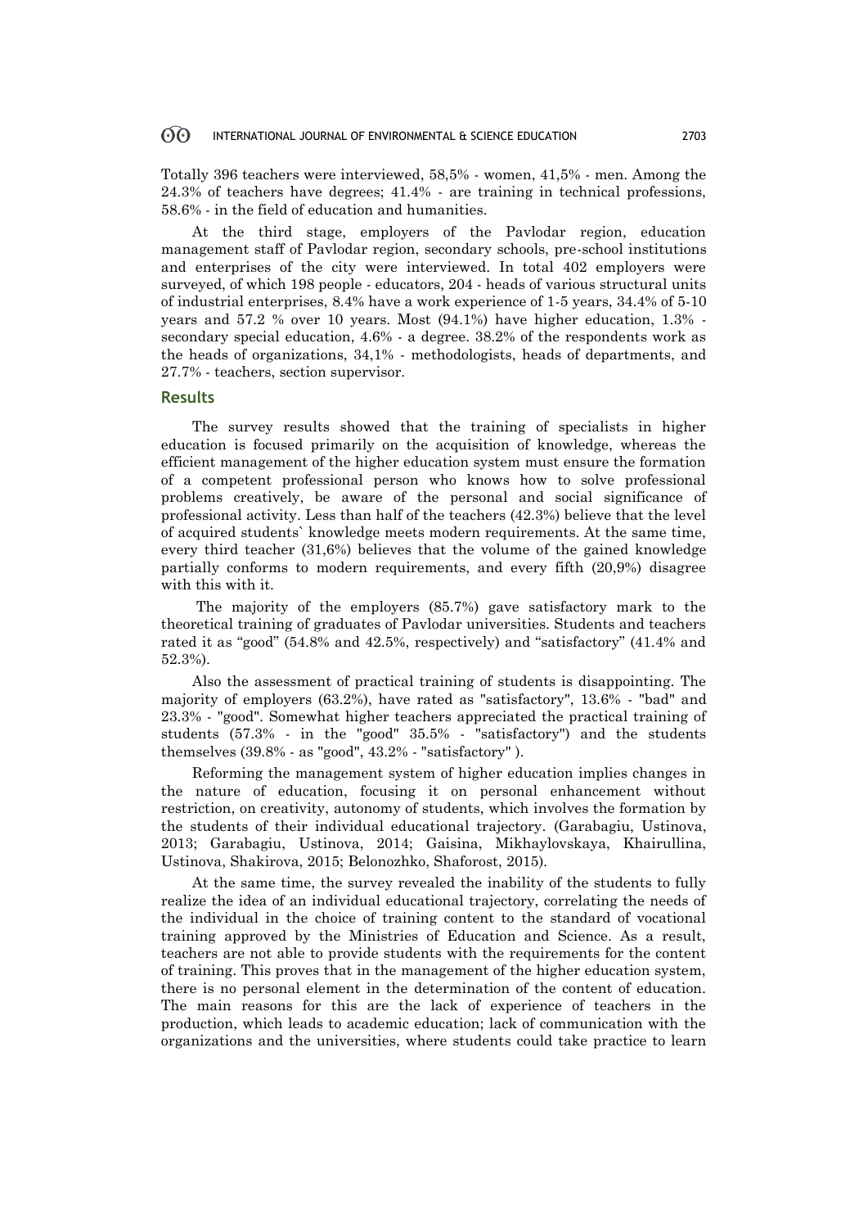#### 60 INTERNATIONAL JOURNAL OF ENVIRONMENTAL & SCIENCE EDUCATION 2703

Totally 396 teachers were interviewed, 58,5% - women, 41,5% - men. Among the 24.3% of teachers have degrees; 41.4% - are training in technical professions, 58.6% - in the field of education and humanities.

At the third stage, employers of the Pavlodar region, education management staff of Pavlodar region, secondary schools, pre-school institutions and enterprises of the city were interviewed. In total 402 employers were surveyed, of which 198 people - educators, 204 - heads of various structural units of industrial enterprises, 8.4% have a work experience of 1-5 years, 34.4% of 5-10 years and 57.2 % over 10 years. Most (94.1%) have higher education, 1.3% secondary special education, 4.6% - a degree. 38.2% of the respondents work as the heads of organizations, 34,1% - methodologists, heads of departments, and 27.7% - teachers, section supervisor.

### **Results**

The survey results showed that the training of specialists in higher education is focused primarily on the acquisition of knowledge, whereas the efficient management of the higher education system must ensure the formation of a competent professional person who knows how to solve professional problems creatively, be aware of the personal and social significance of professional activity. Less than half of the teachers (42.3%) believe that the level of acquired students` knowledge meets modern requirements. At the same time, every third teacher (31,6%) believes that the volume of the gained knowledge partially conforms to modern requirements, and every fifth (20,9%) disagree with this with it.

The majority of the employers (85.7%) gave satisfactory mark to the theoretical training of graduates of Pavlodar universities. Students and teachers rated it as "good" (54.8% and 42.5%, respectively) and "satisfactory" (41.4% and 52.3%).

Also the assessment of practical training of students is disappointing. The majority of employers (63.2%), have rated as "satisfactory", 13.6% - "bad" and 23.3% - "good". Somewhat higher teachers appreciated the practical training of students (57.3% - in the "good" 35.5% - "satisfactory") and the students themselves (39.8% - as "good", 43.2% - "satisfactory" ).

Reforming the management system of higher education implies changes in the nature of education, focusing it on personal enhancement without restriction, on creativity, autonomy of students, which involves the formation by the students of their individual educational trajectory. (Garabagiu, Ustinova, 2013; Garabagiu, Ustinova, 2014; Gaisina, Mikhaylovskaya, Khairullina, Ustinova, Shakirova, 2015; Belonozhko, Shaforost, 2015)*.*

At the same time, the survey revealed the inability of the students to fully realize the idea of an individual educational trajectory, correlating the needs of the individual in the choice of training content to the standard of vocational training approved by the Ministries of Education and Science. As a result, teachers are not able to provide students with the requirements for the content of training. This proves that in the management of the higher education system, there is no personal element in the determination of the content of education. The main reasons for this are the lack of experience of teachers in the production, which leads to academic education; lack of communication with the organizations and the universities, where students could take practice to learn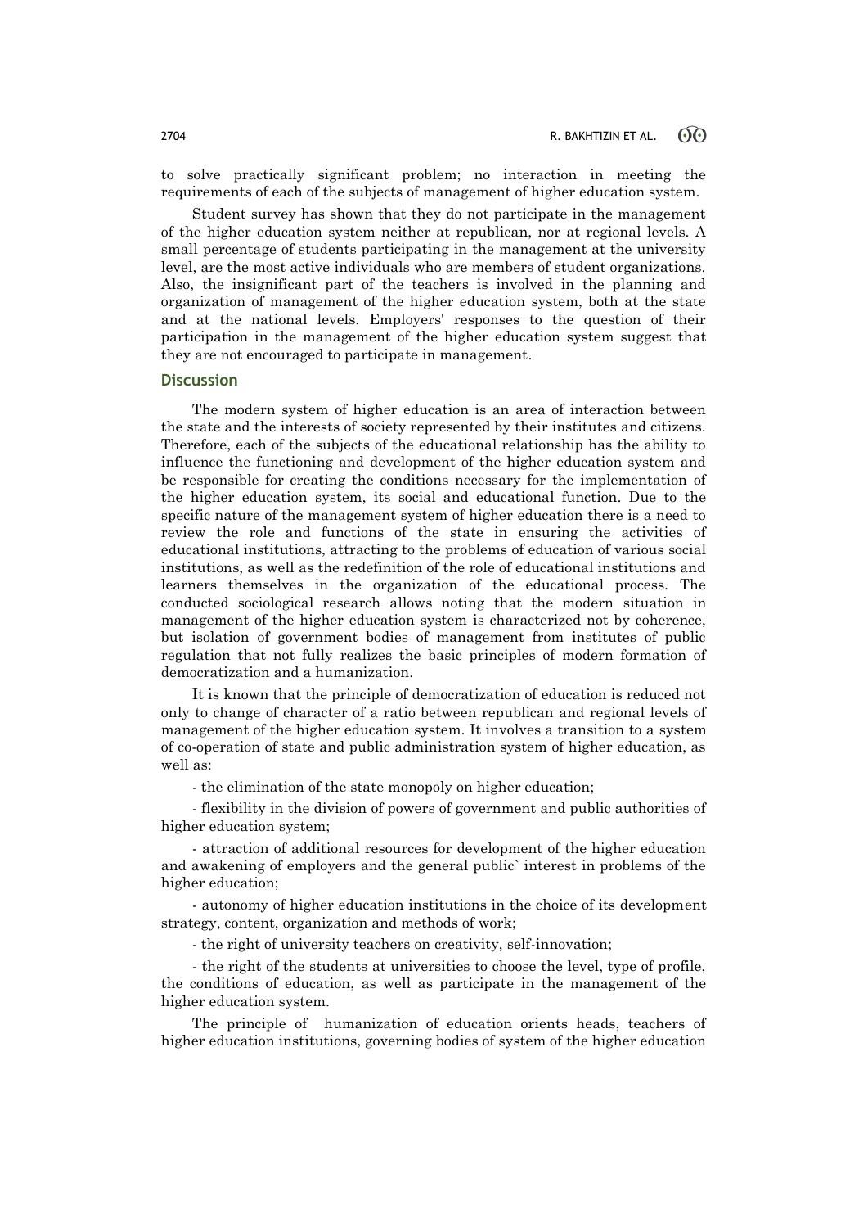to solve practically significant problem; no interaction in meeting the requirements of each of the subjects of management of higher education system.

Student survey has shown that they do not participate in the management of the higher education system neither at republican, nor at regional levels. A small percentage of students participating in the management at the university level, are the most active individuals who are members of student organizations. Also, the insignificant part of the teachers is involved in the planning and organization of management of the higher education system, both at the state and at the national levels. Employers' responses to the question of their participation in the management of the higher education system suggest that they are not encouraged to participate in management.

#### **Discussion**

The modern system of higher education is an area of interaction between the state and the interests of society represented by their institutes and citizens. Therefore, each of the subjects of the educational relationship has the ability to influence the functioning and development of the higher education system and be responsible for creating the conditions necessary for the implementation of the higher education system, its social and educational function. Due to the specific nature of the management system of higher education there is a need to review the role and functions of the state in ensuring the activities of educational institutions, attracting to the problems of education of various social institutions, as well as the redefinition of the role of educational institutions and learners themselves in the organization of the educational process. The conducted sociological research allows noting that the modern situation in management of the higher education system is characterized not by coherence, but isolation of government bodies of management from institutes of public regulation that not fully realizes the basic principles of modern formation of democratization and a humanization.

It is known that the principle of democratization of education is reduced not only to change of character of a ratio between republican and regional levels of management of the higher education system. It involves a transition to a system of co-operation of state and public administration system of higher education, as well as:

- the elimination of the state monopoly on higher education;

- flexibility in the division of powers of government and public authorities of higher education system;

- attraction of additional resources for development of the higher education and awakening of employers and the general public` interest in problems of the higher education;

- autonomy of higher education institutions in the choice of its development strategy, content, organization and methods of work;

- the right of university teachers on creativity, self-innovation;

- the right of the students at universities to choose the level, type of profile, the conditions of education, as well as participate in the management of the higher education system.

The principle of humanization of education orients heads, teachers of higher education institutions, governing bodies of system of the higher education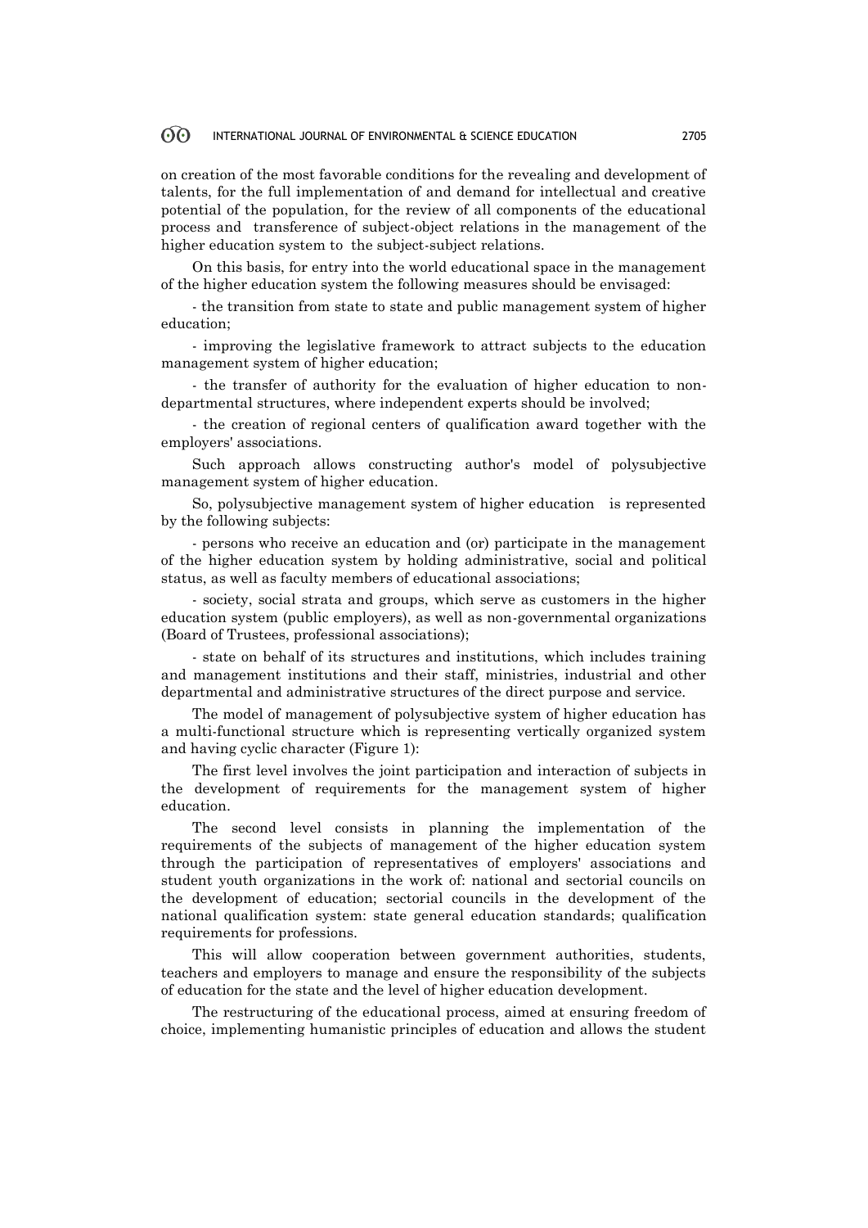#### 60 INTERNATIONAL JOURNAL OF ENVIRONMENTAL & SCIENCE EDUCATION 2705

on creation of the most favorable conditions for the revealing and development of talents, for the full implementation of and demand for intellectual and creative potential of the population, for the review of all components of the educational process and transference of subject-object relations in the management of the higher education system to the subject-subject relations.

On this basis, for entry into the world educational space in the management of the higher education system the following measures should be envisaged:

- the transition from state to state and public management system of higher education;

- improving the legislative framework to attract subjects to the education management system of higher education;

- the transfer of authority for the evaluation of higher education to nondepartmental structures, where independent experts should be involved;

- the creation of regional centers of qualification award together with the employers' associations.

Such approach allows constructing author's model of polysubjective management system of higher education.

So, polysubjective management system of higher education is represented by the following subjects:

- persons who receive an education and (or) participate in the management of the higher education system by holding administrative, social and political status, as well as faculty members of educational associations;

- society, social strata and groups, which serve as customers in the higher education system (public employers), as well as non-governmental organizations (Board of Trustees, professional associations);

- state on behalf of its structures and institutions, which includes training and management institutions and their staff, ministries, industrial and other departmental and administrative structures of the direct purpose and service.

The model of management of polysubjective system of higher education has a multi-functional structure which is representing vertically organized system and having cyclic character (Figure 1):

The first level involves the joint participation and interaction of subjects in the development of requirements for the management system of higher education.

The second level consists in planning the implementation of the requirements of the subjects of management of the higher education system through the participation of representatives of employers' associations and student youth organizations in the work of: national and sectorial councils on the development of education; sectorial councils in the development of the national qualification system: state general education standards; qualification requirements for professions.

This will allow cooperation between government authorities, students, teachers and employers to manage and ensure the responsibility of the subjects of education for the state and the level of higher education development.

The restructuring of the educational process, aimed at ensuring freedom of choice, implementing humanistic principles of education and allows the student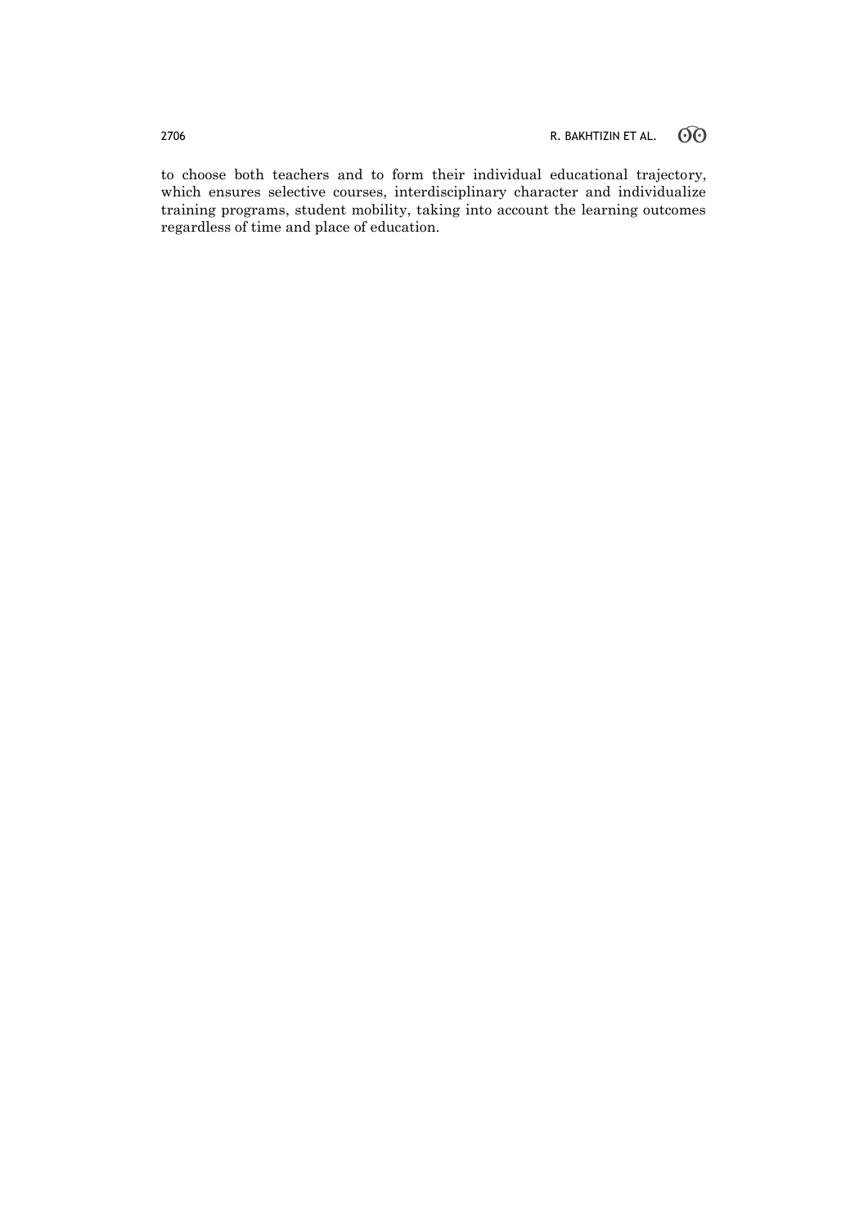to choose both teachers and to form their individual educational trajectory, which ensures selective courses, interdisciplinary character and individualize training programs, student mobility, taking into account the learning outcomes regardless of time and place of education.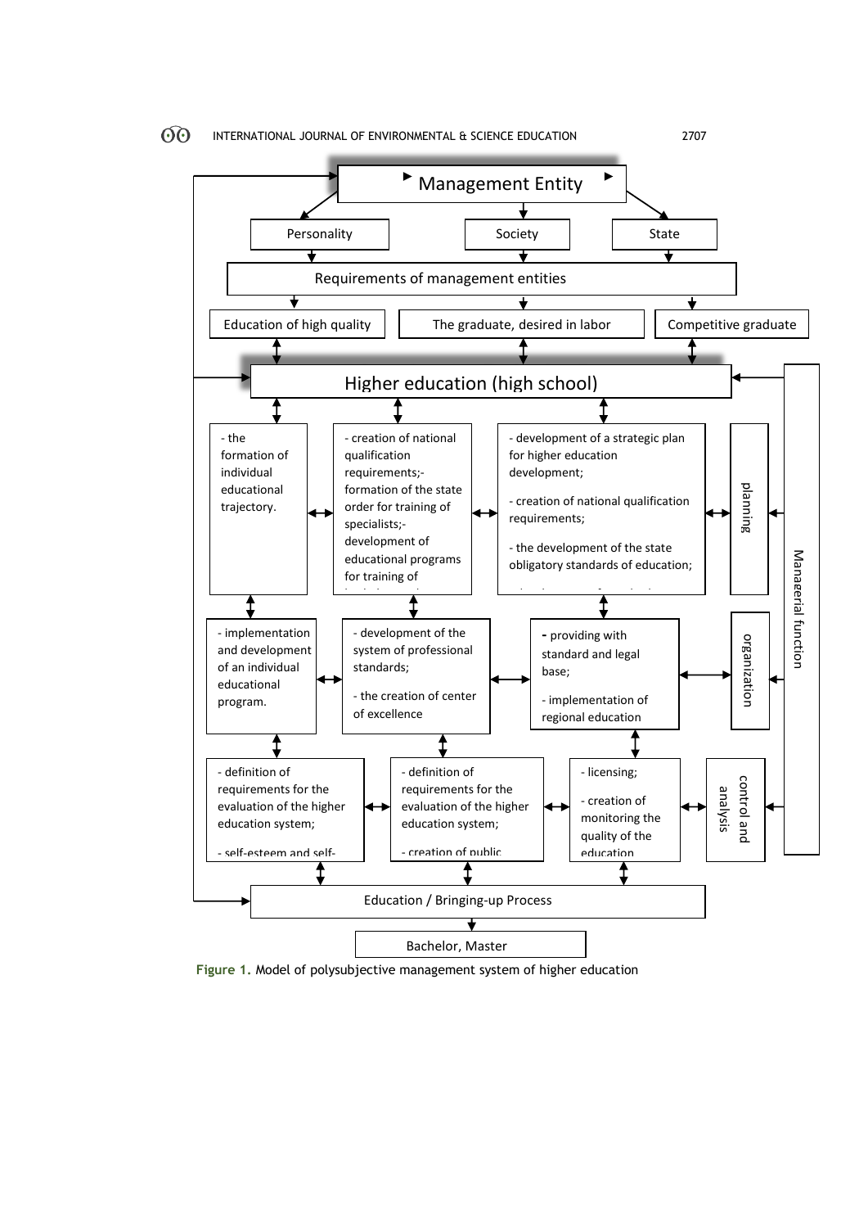

**Figure 1.** Model of polysubjective management system of higher education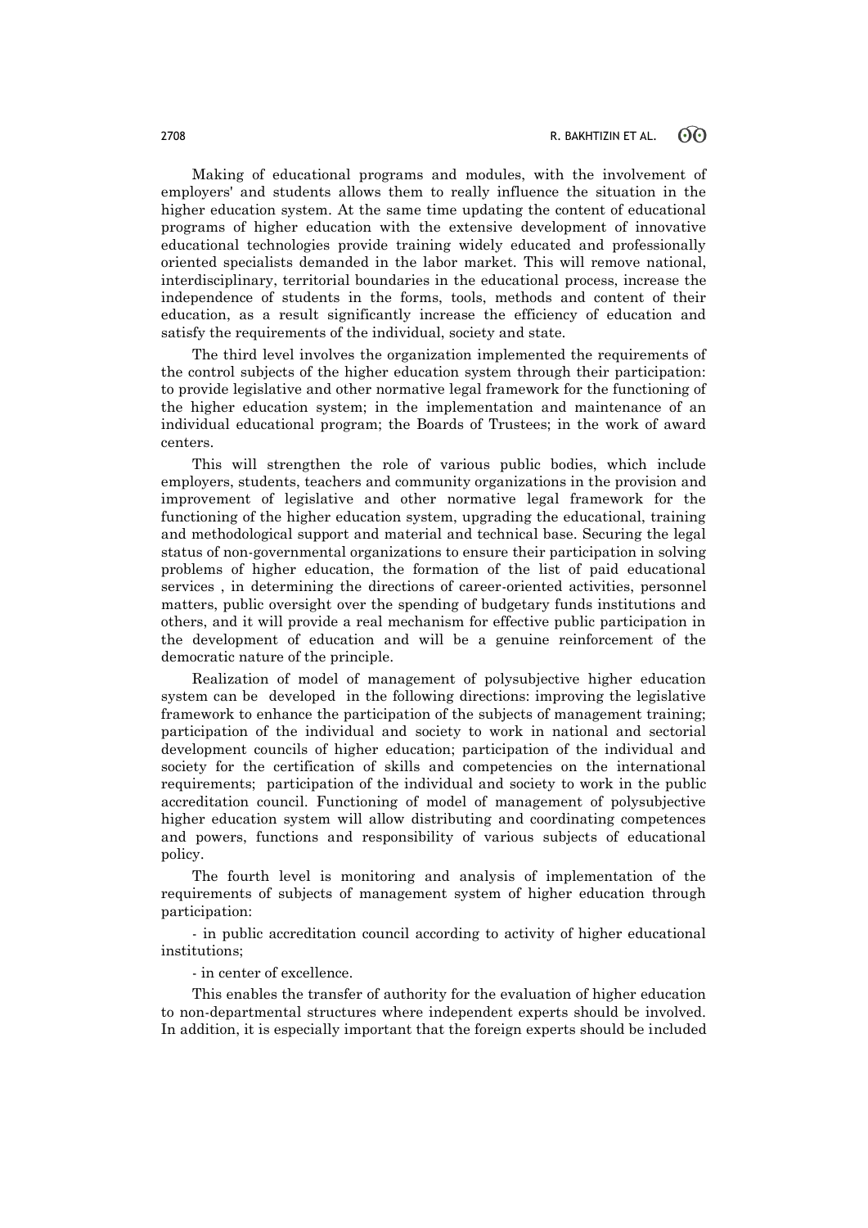Making of educational programs and modules, with the involvement of employers' and students allows them to really influence the situation in the higher education system. At the same time updating the content of educational programs of higher education with the extensive development of innovative educational technologies provide training widely educated and professionally oriented specialists demanded in the labor market. This will remove national, interdisciplinary, territorial boundaries in the educational process, increase the independence of students in the forms, tools, methods and content of their education, as a result significantly increase the efficiency of education and satisfy the requirements of the individual, society and state.

The third level involves the organization implemented the requirements of the control subjects of the higher education system through their participation: to provide legislative and other normative legal framework for the functioning of the higher education system; in the implementation and maintenance of an individual educational program; the Boards of Trustees; in the work of award centers.

This will strengthen the role of various public bodies, which include employers, students, teachers and community organizations in the provision and improvement of legislative and other normative legal framework for the functioning of the higher education system, upgrading the educational, training and methodological support and material and technical base. Securing the legal status of non-governmental organizations to ensure their participation in solving problems of higher education, the formation of the list of paid educational services , in determining the directions of career-oriented activities, personnel matters, public oversight over the spending of budgetary funds institutions and others, and it will provide a real mechanism for effective public participation in the development of education and will be a genuine reinforcement of the democratic nature of the principle.

Realization of model of management of polysubjective higher education system can be developed in the following directions: improving the legislative framework to enhance the participation of the subjects of management training; participation of the individual and society to work in national and sectorial development councils of higher education; participation of the individual and society for the certification of skills and competencies on the international requirements; participation of the individual and society to work in the public accreditation council. Functioning of model of management of polysubjective higher education system will allow distributing and coordinating competences and powers, functions and responsibility of various subjects of educational policy.

The fourth level is monitoring and analysis of implementation of the requirements of subjects of management system of higher education through participation:

- in public accreditation council according to activity of higher educational institutions;

- in center of excellence.

This enables the transfer of authority for the evaluation of higher education to non-departmental structures where independent experts should be involved. In addition, it is especially important that the foreign experts should be included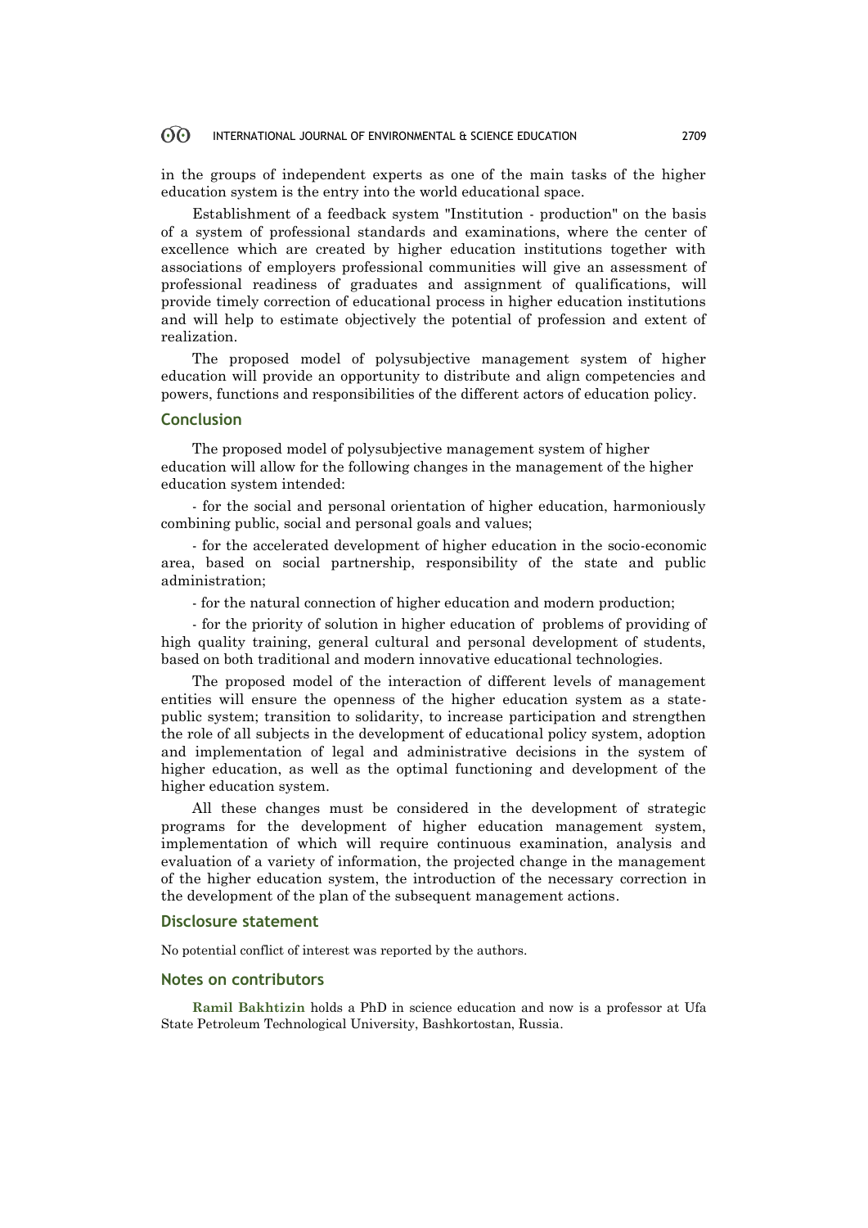#### 60 INTERNATIONAL JOURNAL OF ENVIRONMENTAL & SCIENCE EDUCATION 2709

in the groups of independent experts as one of the main tasks of the higher education system is the entry into the world educational space.

Establishment of a feedback system "Institution - production" on the basis of a system of professional standards and examinations, where the center of excellence which are created by higher education institutions together with associations of employers professional communities will give an assessment of professional readiness of graduates and assignment of qualifications, will provide timely correction of educational process in higher education institutions and will help to estimate objectively the potential of profession and extent of realization.

The proposed model of polysubjective management system of higher education will provide an opportunity to distribute and align competencies and powers, functions and responsibilities of the different actors of education policy.

#### **Conclusion**

The proposed model of polysubjective management system of higher education will allow for the following changes in the management of the higher education system intended:

- for the social and personal orientation of higher education, harmoniously combining public, social and personal goals and values;

- for the accelerated development of higher education in the socio-economic area, based on social partnership, responsibility of the state and public administration;

- for the natural connection of higher education and modern production;

- for the priority of solution in higher education of problems of providing of high quality training, general cultural and personal development of students, based on both traditional and modern innovative educational technologies.

The proposed model of the interaction of different levels of management entities will ensure the openness of the higher education system as a statepublic system; transition to solidarity, to increase participation and strengthen the role of all subjects in the development of educational policy system, adoption and implementation of legal and administrative decisions in the system of higher education, as well as the optimal functioning and development of the higher education system.

All these changes must be considered in the development of strategic programs for the development of higher education management system, implementation of which will require continuous examination, analysis and evaluation of a variety of information, the projected change in the management of the higher education system, the introduction of the necessary correction in the development of the plan of the subsequent management actions.

### **Disclosure statement**

No potential conflict of interest was reported by the authors.

### **Notes on contributors**

**Ramil Bakhtizin** holds a PhD in science education and now is a professor at Ufa State Petroleum Technological University, Bashkortostan, Russia.